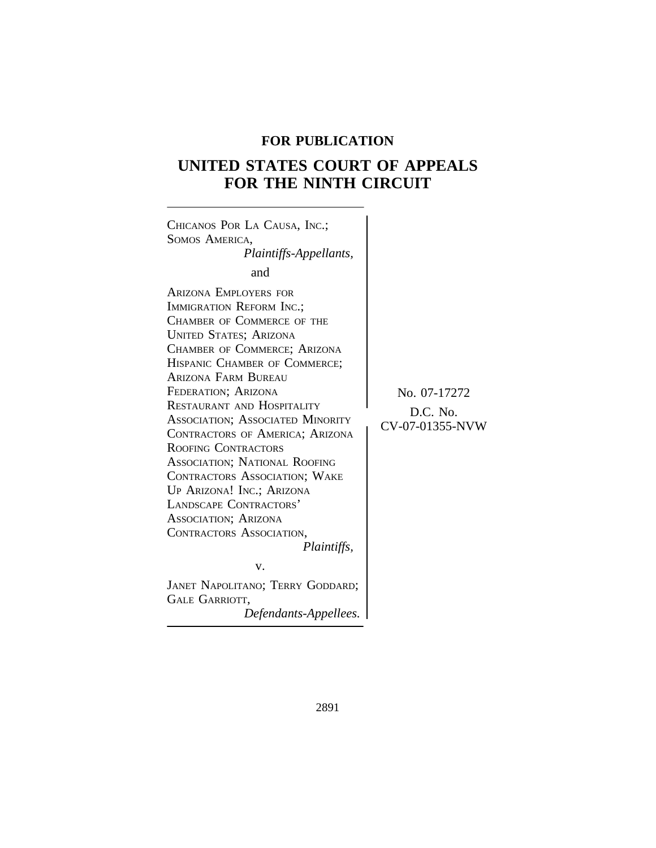## **FOR PUBLICATION**

# **UNITED STATES COURT OF APPEALS FOR THE NINTH CIRCUIT**

 $\overline{\phantom{a}}$ 

| CHICANOS POR LA CAUSA, INC.;<br>SOMOS AMERICA,<br>Plaintiffs-Appellants,<br>and<br><b>ARIZONA EMPLOYERS FOR</b><br>IMMIGRATION REFORM INC.;<br>CHAMBER OF COMMERCE OF THE<br><b>UNITED STATES; ARIZONA</b><br>CHAMBER OF COMMERCE; ARIZONA<br>HISPANIC CHAMBER OF COMMERCE;<br>ARIZONA FARM BUREAU<br>FEDERATION; ARIZONA<br>RESTAURANT AND HOSPITALITY<br><b>ASSOCIATION; ASSOCIATED MINORITY</b><br>CONTRACTORS OF AMERICA; ARIZONA<br>ROOFING CONTRACTORS<br>ASSOCIATION; NATIONAL ROOFING<br><b>CONTRACTORS ASSOCIATION; WAKE</b><br>UP ARIZONA! INC.; ARIZONA<br>LANDSCAPE CONTRACTORS'<br>ASSOCIATION; ARIZONA<br>CONTRACTORS ASSOCIATION,<br><i>Plaintiffs,</i><br>V.<br>JANET NAPOLITANO; TERRY GODDARD;<br><b>GALE GARRIOTT,</b><br>Defendants-Appellees. | No. 07-17272<br>D.C. No.<br>CV-07-01355-NVW |
|--------------------------------------------------------------------------------------------------------------------------------------------------------------------------------------------------------------------------------------------------------------------------------------------------------------------------------------------------------------------------------------------------------------------------------------------------------------------------------------------------------------------------------------------------------------------------------------------------------------------------------------------------------------------------------------------------------------------------------------------------------------------|---------------------------------------------|
|--------------------------------------------------------------------------------------------------------------------------------------------------------------------------------------------------------------------------------------------------------------------------------------------------------------------------------------------------------------------------------------------------------------------------------------------------------------------------------------------------------------------------------------------------------------------------------------------------------------------------------------------------------------------------------------------------------------------------------------------------------------------|---------------------------------------------|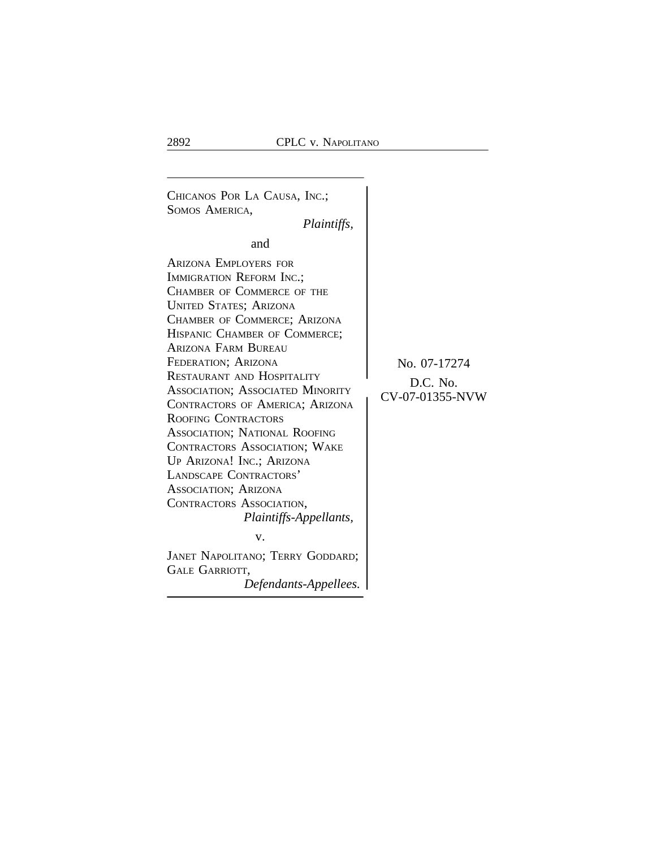<sup>C</sup>HICANOS POR LA CAUSA, INC.; SOMOS AMERICA, *Plaintiffs,* and ARIZONA EMPLOYERS FOR IMMIGRATION REFORM INC.; CHAMBER OF COMMERCE OF THE UNITED STATES; ARIZONA CHAMBER OF COMMERCE; ARIZONA HISPANIC CHAMBER OF COMMERCE; ARIZONA FARM BUREAU FEDERATION; ARIZONA No. 07-17274<br>RESTAURANT AND HOSPITALITY RESTAURANT AND HOSPITALITY<br>
ASSOCIATION; ASSOCIATED MINORITY<br>
CV-07-01355-NVW CONTRACTORS OF AMERICA; ARIZONA ROOFING CONTRACTORS ASSOCIATION; NATIONAL ROOFING CONTRACTORS ASSOCIATION; WAKE UP ARIZONA! INC.; ARIZONA LANDSCAPE CONTRACTORS' ASSOCIATION; ARIZONA CONTRACTORS ASSOCIATION, *Plaintiffs-Appellants,* v. JANET NAPOLITANO; TERRY GODDARD; GALE GARRIOTT, *Defendants-Appellees.*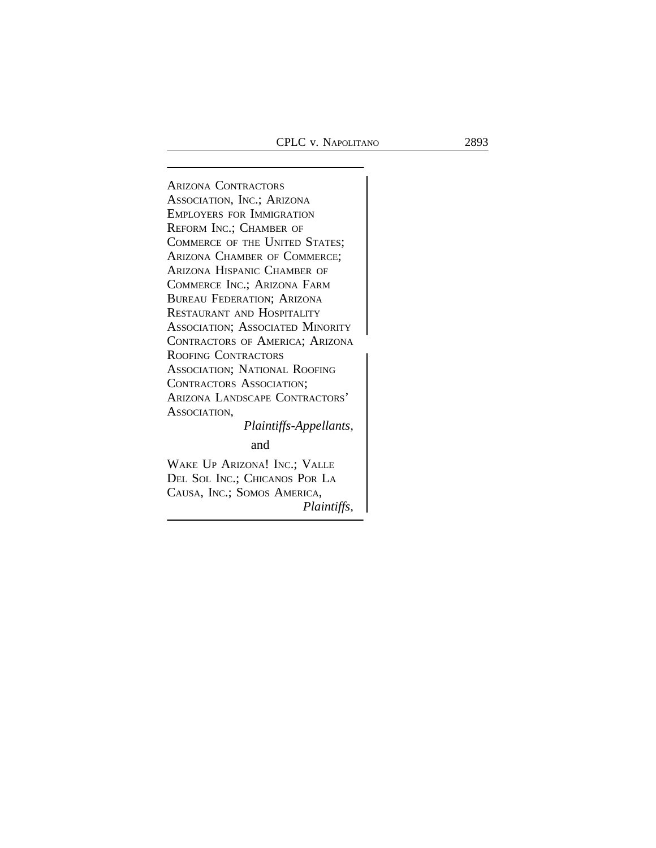*Plaintiffs,*

<sup>A</sup>RIZONA CONTRACTORS ASSOCIATION, INC.; ARIZONA EMPLOYERS FOR IMMIGRATION REFORM INC.; CHAMBER OF COMMERCE OF THE UNITED STATES; ARIZONA CHAMBER OF COMMERCE; ARIZONA HISPANIC CHAMBER OF COMMERCE INC.; ARIZONA FARM BUREAU FEDERATION; ARIZONA RESTAURANT AND HOSPITALITY ASSOCIATION; ASSOCIATED MINORITY <sup>C</sup>ONTRACTORS OF AMERICA; ARIZONA <sup>R</sup>OOFING CONTRACTORS ASSOCIATION; NATIONAL ROOFING CONTRACTORS ASSOCIATION; ARIZONA LANDSCAPE CONTRACTORS' ASSOCIATION, *Plaintiffs-Appellants,* and WAKE UP ARIZONA! INC.; VALLE DEL SOL INC.; CHICANOS POR LA CAUSA, INC.; SOMOS AMERICA,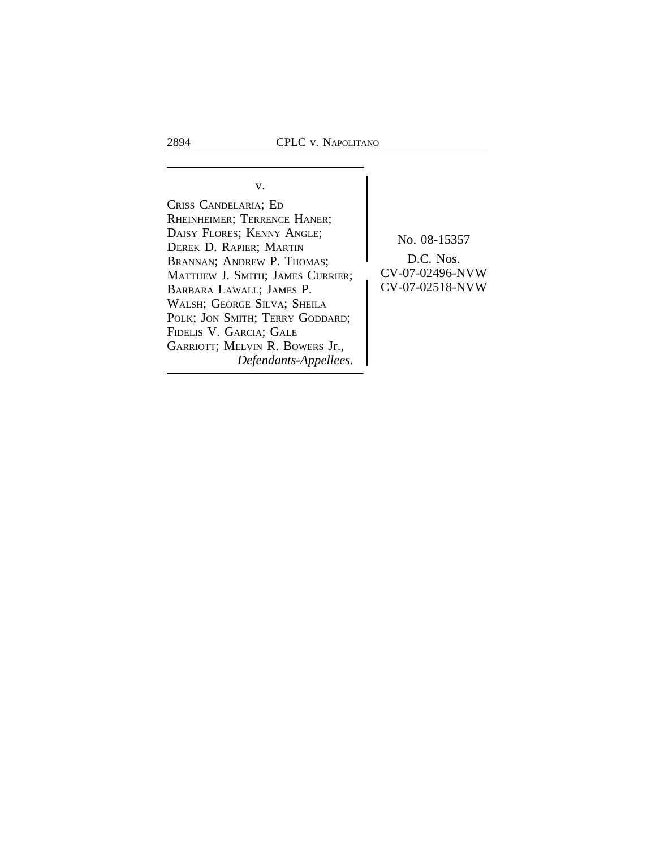v. CRISS CANDELARIA; ED RHEINHEIMER; TERRENCE HANER; DAISY FLORES; KENNY ANGLE;<br>
DEREK D. RAPIER; MARTIN<br>
BRANNAN: ANDREW P. THOMAS: D.C. Nos. BRANNAN; ANDREW P. THOMAS;<br>MATTHEW I SMITH: JAMES CURRIER: CV-07-02496-NVW MATTHEW J. SMITH; JAMES CURRIER;  $\begin{bmatrix} CV-07-02496-NVW \ CV-07-02518-NVW \end{bmatrix}$ BARBARA LAWALL; JAMES P. WALSH; GEORGE SILVA; SHEILA POLK; JON SMITH; TERRY GODDARD; FIDELIS V. GARCIA; GALE GARRIOTT; MELVIN R. BOWERS Jr., *Defendants-Appellees.*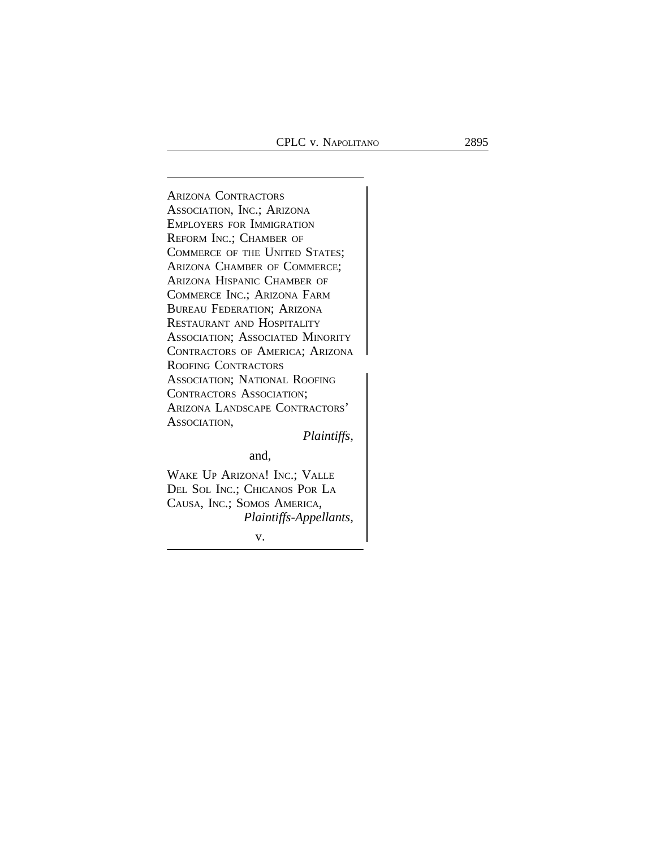<sup>A</sup>RIZONA CONTRACTORS ASSOCIATION, INC.; ARIZONA EMPLOYERS FOR IMMIGRATION REFORM INC.; CHAMBER OF COMMERCE OF THE UNITED STATES; ARIZONA CHAMBER OF COMMERCE; ARIZONA HISPANIC CHAMBER OF COMMERCE INC.; ARIZONA FARM BUREAU FEDERATION; ARIZONA RESTAURANT AND HOSPITALITY ASSOCIATION; ASSOCIATED MINORITY CONTRACTORS OF AMERICA; ARIZONA <sup>R</sup>OOFING CONTRACTORS ASSOCIATION; NATIONAL ROOFING CONTRACTORS ASSOCIATION; ARIZONA LANDSCAPE CONTRACTORS' ASSOCIATION,

*Plaintiffs,*

and,

WAKE UP ARIZONA! INC.; VALLE DEL SOL INC.; CHICANOS POR LA CAUSA, INC.; SOMOS AMERICA, *Plaintiffs-Appellants,*

v.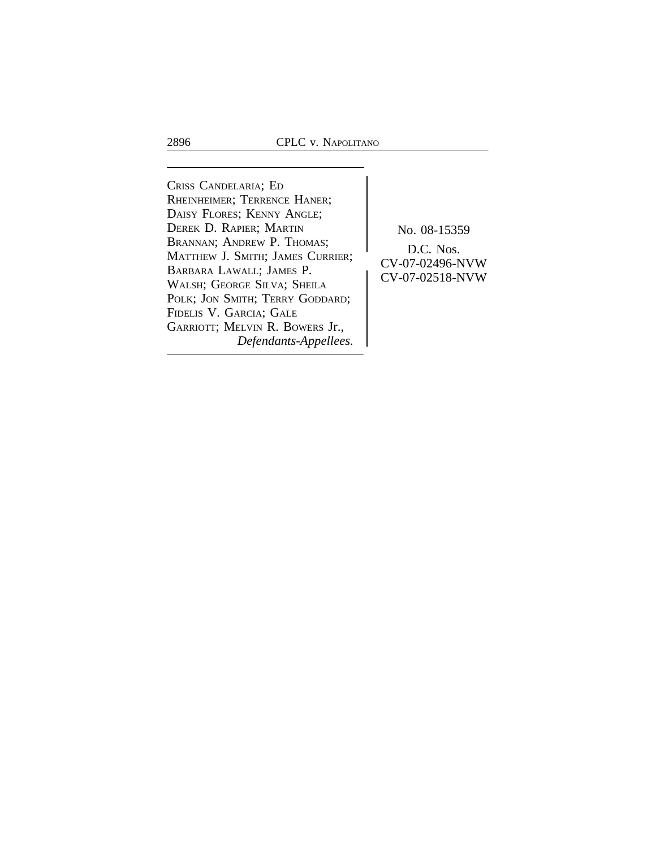<sup>C</sup>RISS CANDELARIA; E<sup>D</sup> RHEINHEIMER; TERRENCE HANER; DAISY FLORES; KENNY ANGLE; DEREK D. RAPIER; MARTIN No. 08-15359 BRANNAN; ANDREW P. THOMAS; D.C. Nos.<br>
MATTHEW J. SMITH; JAMES CURRIER;<br>
BARBARA LAWALL; JAMES P.<br>
CV-07-02496-NVW DARBARA LAWALL, JAMES P.<br>WALSH; GEORGE SILVA; SHEILA CV-07-02518-NVW POLK; JON SMITH; TERRY GODDARD; FIDELIS V. GARCIA; GALE GARRIOTT; MELVIN R. BOWERS Jr., *Defendants-Appellees.*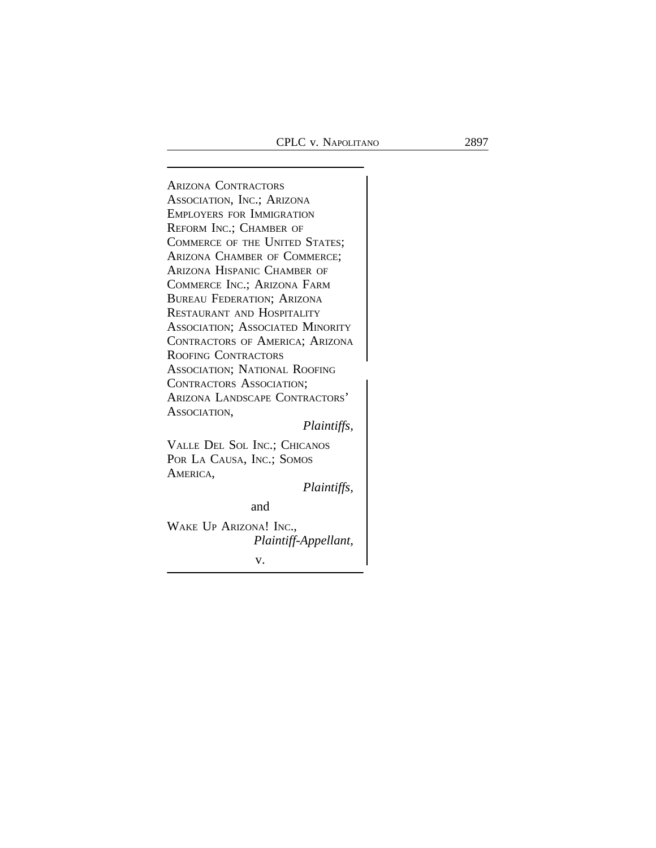<sup>A</sup>RIZONA CONTRACTORS ASSOCIATION, INC.; ARIZONA EMPLOYERS FOR IMMIGRATION REFORM INC.; CHAMBER OF COMMERCE OF THE UNITED STATES; ARIZONA CHAMBER OF COMMERCE; ARIZONA HISPANIC CHAMBER OF COMMERCE INC.; ARIZONA FARM BUREAU FEDERATION; ARIZONA RESTAURANT AND HOSPITALITY ASSOCIATION; ASSOCIATED MINORITY CONTRACTORS OF AMERICA; ARIZONA ROOFING CONTRACTORS <sup>A</sup>SSOCIATION; NATIONAL ROOFING CONTRACTORS ASSOCIATION; ARIZONA LANDSCAPE CONTRACTORS' ASSOCIATION, *Plaintiffs,* VALLE DEL SOL INC.; CHICANOS POR LA CAUSA, INC.; SOMOS AMERICA,

*Plaintiffs,*

and

WAKE UP ARIZONA! INC., *Plaintiff-Appellant,* v.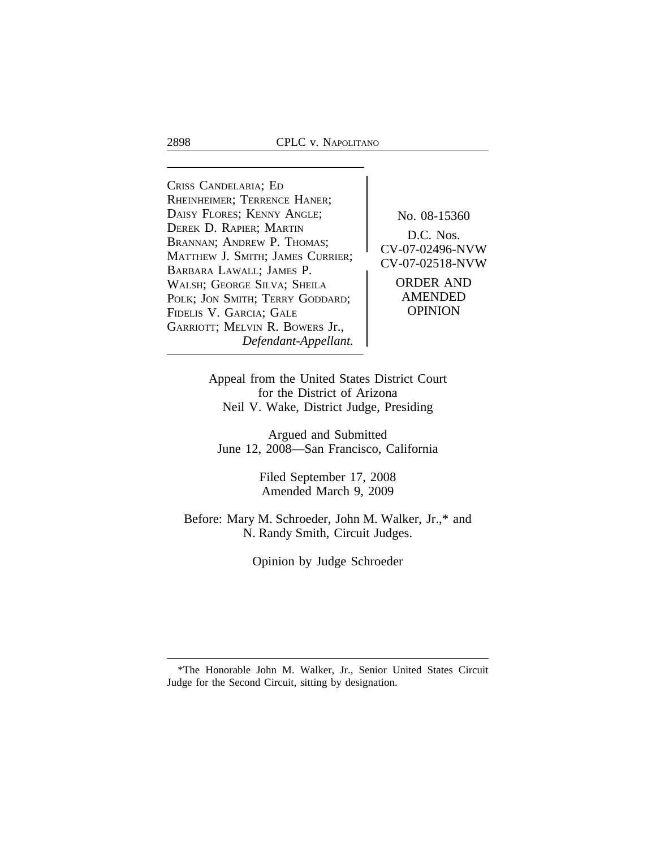<sup>C</sup>RISS CANDELARIA; E<sup>D</sup> RHEINHEIMER; TERRENCE HANER; DAISY FLORES; KENNY ANGLE; No. 08-15360<br>DEREK D. RAPIER; MARTIN DEREK D. RAPIER, MARTIN<br>BRANNAN; ANDREW P. THOMAS;<br>M. B. CV-07-02496-NVW MATTHEW J. SMITH; JAMES CURRIER; <br>
CV-07-02518-NVW BARBARA LAWALL; JAMES P.<br>WALSH: GEORGE SILVA: SHEILA ORDER AND WALSH; GEORGE SILVA; SHEILA **ORDER AND**<br>POLK: JON SMITH: TERRY GODDARD: AMENDED POLK; JON SMITH; TERRY GODDARD; AMENDED<br>FIDELIS V. GARCIA: GALE (POPINION) FIDELIS V. GARCIA; GALE GARRIOTT; MELVIN R. BOWERS Jr., *Defendant-Appellant.*

Appeal from the United States District Court for the District of Arizona Neil V. Wake, District Judge, Presiding

Argued and Submitted June 12, 2008—San Francisco, California

> Filed September 17, 2008 Amended March 9, 2009

Before: Mary M. Schroeder, John M. Walker, Jr.,\* and N. Randy Smith, Circuit Judges.

Opinion by Judge Schroeder

<sup>\*</sup>The Honorable John M. Walker, Jr., Senior United States Circuit Judge for the Second Circuit, sitting by designation.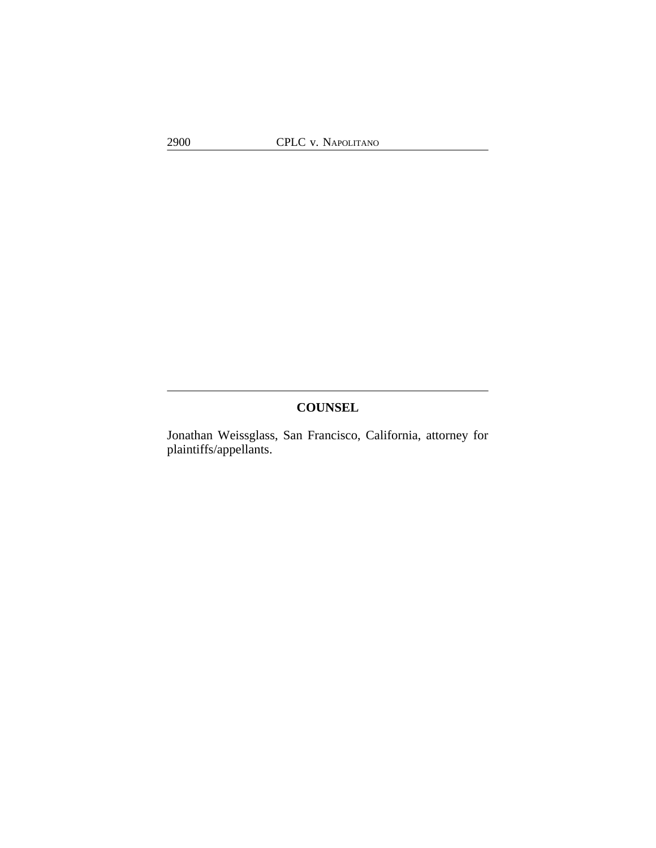## **COUNSEL**

Jonathan Weissglass, San Francisco, California, attorney for plaintiffs/appellants.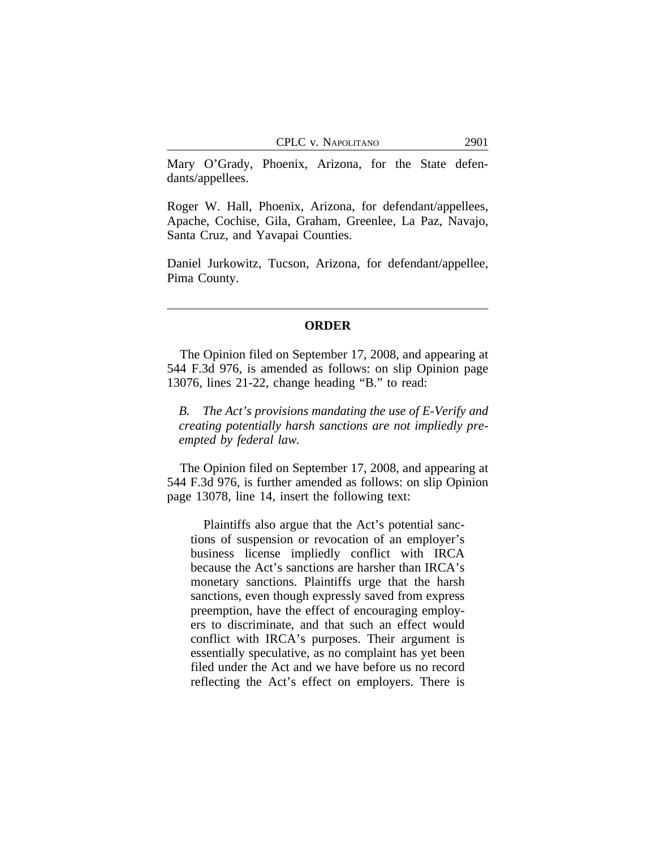Mary O'Grady, Phoenix, Arizona, for the State defendants/appellees.

Roger W. Hall, Phoenix, Arizona, for defendant/appellees, Apache, Cochise, Gila, Graham, Greenlee, La Paz, Navajo, Santa Cruz, and Yavapai Counties.

Daniel Jurkowitz, Tucson, Arizona, for defendant/appellee, Pima County.

### **ORDER**

The Opinion filed on September 17, 2008, and appearing at 544 F.3d 976, is amended as follows: on slip Opinion page 13076, lines 21-22, change heading "B." to read:

*B. The Act's provisions mandating the use of E-Verify and creating potentially harsh sanctions are not impliedly preempted by federal law.*

The Opinion filed on September 17, 2008, and appearing at 544 F.3d 976, is further amended as follows: on slip Opinion page 13078, line 14, insert the following text:

Plaintiffs also argue that the Act's potential sanctions of suspension or revocation of an employer's business license impliedly conflict with IRCA because the Act's sanctions are harsher than IRCA's monetary sanctions. Plaintiffs urge that the harsh sanctions, even though expressly saved from express preemption, have the effect of encouraging employers to discriminate, and that such an effect would conflict with IRCA's purposes. Their argument is essentially speculative, as no complaint has yet been filed under the Act and we have before us no record reflecting the Act's effect on employers. There is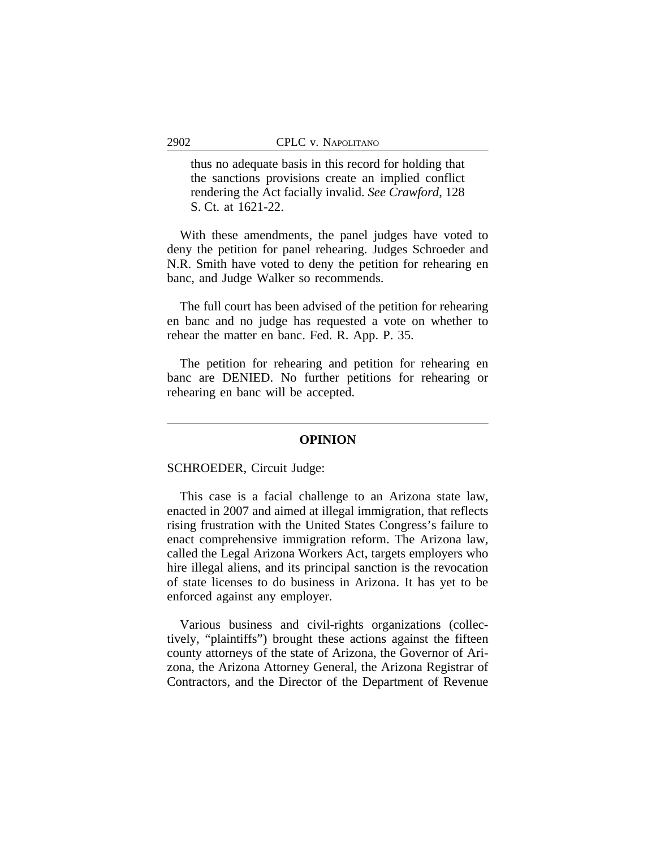thus no adequate basis in this record for holding that the sanctions provisions create an implied conflict rendering the Act facially invalid. *See Crawford*, 128 S. Ct. at 1621-22.

With these amendments, the panel judges have voted to deny the petition for panel rehearing. Judges Schroeder and N.R. Smith have voted to deny the petition for rehearing en banc, and Judge Walker so recommends.

The full court has been advised of the petition for rehearing en banc and no judge has requested a vote on whether to rehear the matter en banc. Fed. R. App. P. 35.

The petition for rehearing and petition for rehearing en banc are DENIED. No further petitions for rehearing or rehearing en banc will be accepted.

#### **OPINION**

SCHROEDER, Circuit Judge:

This case is a facial challenge to an Arizona state law, enacted in 2007 and aimed at illegal immigration, that reflects rising frustration with the United States Congress's failure to enact comprehensive immigration reform. The Arizona law, called the Legal Arizona Workers Act, targets employers who hire illegal aliens, and its principal sanction is the revocation of state licenses to do business in Arizona. It has yet to be enforced against any employer.

Various business and civil-rights organizations (collectively, "plaintiffs") brought these actions against the fifteen county attorneys of the state of Arizona, the Governor of Arizona, the Arizona Attorney General, the Arizona Registrar of Contractors, and the Director of the Department of Revenue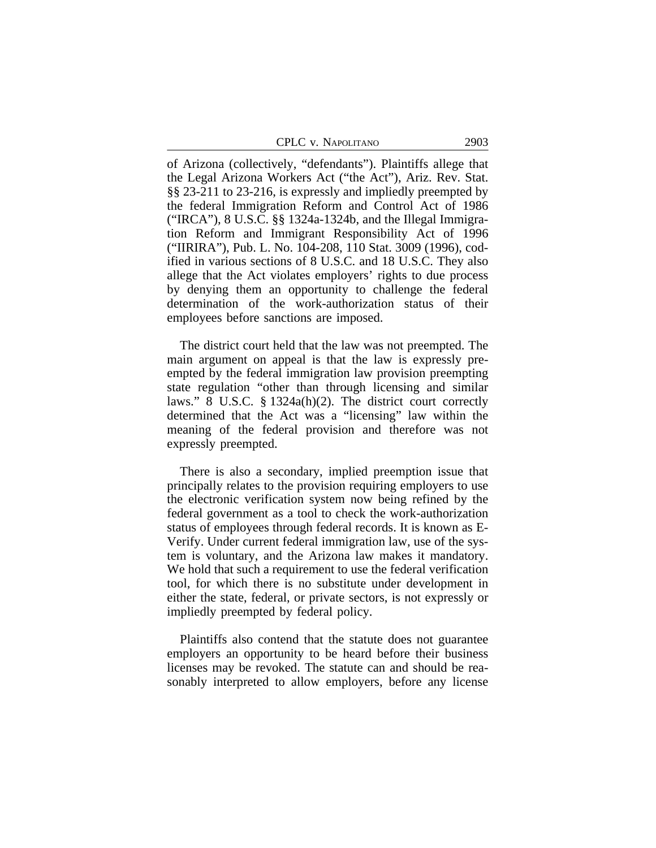| CPLC v. Napolitano | 2903 |
|--------------------|------|
|--------------------|------|

of Arizona (collectively, "defendants"). Plaintiffs allege that the Legal Arizona Workers Act ("the Act"), Ariz. Rev. Stat. §§ 23-211 to 23-216, is expressly and impliedly preempted by the federal Immigration Reform and Control Act of 1986 ("IRCA"), 8 U.S.C. §§ 1324a-1324b, and the Illegal Immigration Reform and Immigrant Responsibility Act of 1996 ("IIRIRA"), Pub. L. No. 104-208, 110 Stat. 3009 (1996), codified in various sections of 8 U.S.C. and 18 U.S.C. They also allege that the Act violates employers' rights to due process by denying them an opportunity to challenge the federal determination of the work-authorization status of their employees before sanctions are imposed.

The district court held that the law was not preempted. The main argument on appeal is that the law is expressly preempted by the federal immigration law provision preempting state regulation "other than through licensing and similar laws." 8 U.S.C. § 1324a(h)(2). The district court correctly determined that the Act was a "licensing" law within the meaning of the federal provision and therefore was not expressly preempted.

There is also a secondary, implied preemption issue that principally relates to the provision requiring employers to use the electronic verification system now being refined by the federal government as a tool to check the work-authorization status of employees through federal records. It is known as E-Verify. Under current federal immigration law, use of the system is voluntary, and the Arizona law makes it mandatory. We hold that such a requirement to use the federal verification tool, for which there is no substitute under development in either the state, federal, or private sectors, is not expressly or impliedly preempted by federal policy.

Plaintiffs also contend that the statute does not guarantee employers an opportunity to be heard before their business licenses may be revoked. The statute can and should be reasonably interpreted to allow employers, before any license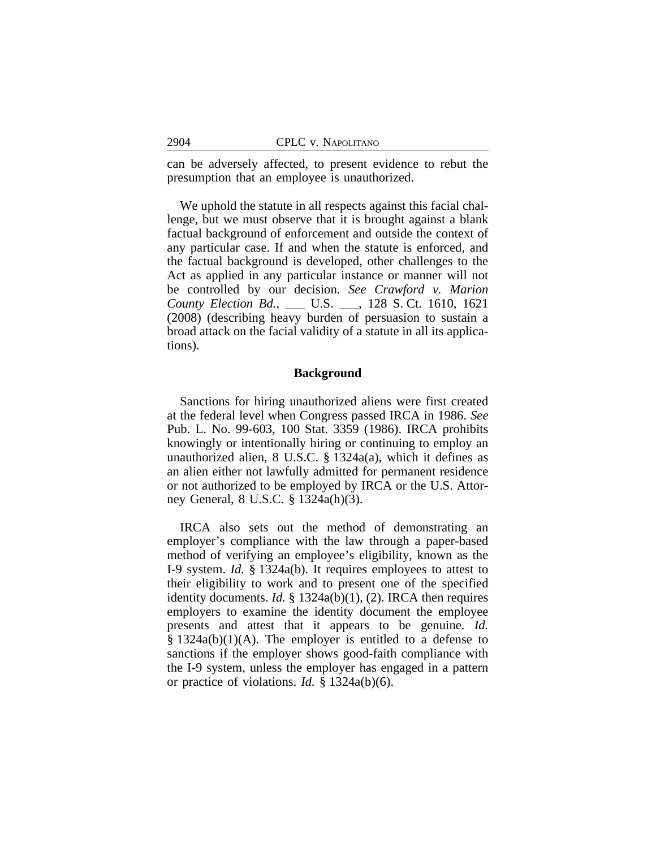can be adversely affected, to present evidence to rebut the presumption that an employee is unauthorized.

We uphold the statute in all respects against this facial challenge, but we must observe that it is brought against a blank factual background of enforcement and outside the context of any particular case. If and when the statute is enforced, and the factual background is developed, other challenges to the Act as applied in any particular instance or manner will not be controlled by our decision. *See Crawford v. Marion County Election Bd.*, \_\_\_ U.S. \_\_\_, 128 S. Ct. 1610, 1621 (2008) (describing heavy burden of persuasion to sustain a broad attack on the facial validity of a statute in all its applications).

#### **Background**

Sanctions for hiring unauthorized aliens were first created at the federal level when Congress passed IRCA in 1986. *See* Pub. L. No. 99-603, 100 Stat. 3359 (1986). IRCA prohibits knowingly or intentionally hiring or continuing to employ an unauthorized alien, 8 U.S.C. § 1324a(a), which it defines as an alien either not lawfully admitted for permanent residence or not authorized to be employed by IRCA or the U.S. Attorney General, 8 U.S.C. § 1324a(h)(3).

IRCA also sets out the method of demonstrating an employer's compliance with the law through a paper-based method of verifying an employee's eligibility, known as the I-9 system. *Id.* § 1324a(b). It requires employees to attest to their eligibility to work and to present one of the specified identity documents. *Id.* § 1324a(b)(1), (2). IRCA then requires employers to examine the identity document the employee presents and attest that it appears to be genuine. *Id.*  $§$  1324a(b)(1)(A). The employer is entitled to a defense to sanctions if the employer shows good-faith compliance with the I-9 system, unless the employer has engaged in a pattern or practice of violations. *Id.* § 1324a(b)(6).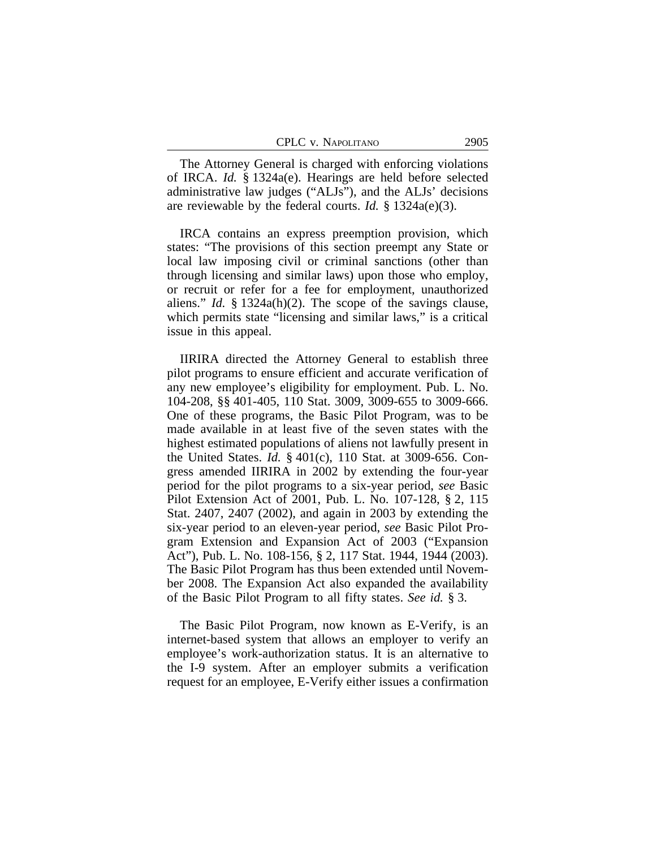| CPLC v. NAPOLITANO | 2905 |
|--------------------|------|
|--------------------|------|

The Attorney General is charged with enforcing violations of IRCA. *Id.* § 1324a(e). Hearings are held before selected administrative law judges ("ALJs"), and the ALJs' decisions are reviewable by the federal courts. *Id.* § 1324a(e)(3).

IRCA contains an express preemption provision, which states: "The provisions of this section preempt any State or local law imposing civil or criminal sanctions (other than through licensing and similar laws) upon those who employ, or recruit or refer for a fee for employment, unauthorized aliens." *Id.* § 1324a(h)(2). The scope of the savings clause, which permits state "licensing and similar laws," is a critical issue in this appeal.

IIRIRA directed the Attorney General to establish three pilot programs to ensure efficient and accurate verification of any new employee's eligibility for employment. Pub. L. No. 104-208, §§ 401-405, 110 Stat. 3009, 3009-655 to 3009-666. One of these programs, the Basic Pilot Program, was to be made available in at least five of the seven states with the highest estimated populations of aliens not lawfully present in the United States. *Id.* § 401(c), 110 Stat. at 3009-656. Congress amended IIRIRA in 2002 by extending the four-year period for the pilot programs to a six-year period, *see* Basic Pilot Extension Act of 2001, Pub. L. No. 107-128, § 2, 115 Stat. 2407, 2407 (2002), and again in 2003 by extending the six-year period to an eleven-year period, *see* Basic Pilot Program Extension and Expansion Act of 2003 ("Expansion Act"), Pub. L. No. 108-156, § 2, 117 Stat. 1944, 1944 (2003). The Basic Pilot Program has thus been extended until November 2008. The Expansion Act also expanded the availability of the Basic Pilot Program to all fifty states. *See id.* § 3.

The Basic Pilot Program, now known as E-Verify, is an internet-based system that allows an employer to verify an employee's work-authorization status. It is an alternative to the I-9 system. After an employer submits a verification request for an employee, E-Verify either issues a confirmation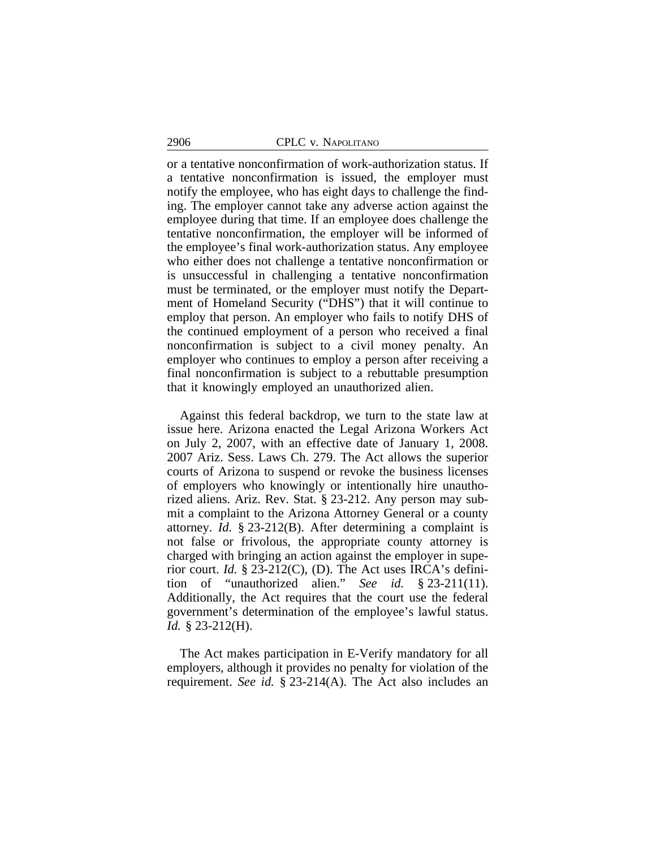or a tentative nonconfirmation of work-authorization status. If a tentative nonconfirmation is issued, the employer must notify the employee, who has eight days to challenge the finding. The employer cannot take any adverse action against the employee during that time. If an employee does challenge the tentative nonconfirmation, the employer will be informed of the employee's final work-authorization status. Any employee who either does not challenge a tentative nonconfirmation or is unsuccessful in challenging a tentative nonconfirmation must be terminated, or the employer must notify the Department of Homeland Security ("DHS") that it will continue to employ that person. An employer who fails to notify DHS of the continued employment of a person who received a final nonconfirmation is subject to a civil money penalty. An employer who continues to employ a person after receiving a final nonconfirmation is subject to a rebuttable presumption that it knowingly employed an unauthorized alien.

Against this federal backdrop, we turn to the state law at issue here. Arizona enacted the Legal Arizona Workers Act on July 2, 2007, with an effective date of January 1, 2008. 2007 Ariz. Sess. Laws Ch. 279. The Act allows the superior courts of Arizona to suspend or revoke the business licenses of employers who knowingly or intentionally hire unauthorized aliens. Ariz. Rev. Stat. § 23-212. Any person may submit a complaint to the Arizona Attorney General or a county attorney. *Id.* § 23-212(B). After determining a complaint is not false or frivolous, the appropriate county attorney is charged with bringing an action against the employer in superior court. *Id.* § 23-212(C), (D). The Act uses IRCA's definition of "unauthorized alien." *See id.* § 23-211(11). Additionally, the Act requires that the court use the federal government's determination of the employee's lawful status. *Id.* § 23-212(H).

The Act makes participation in E-Verify mandatory for all employers, although it provides no penalty for violation of the requirement. *See id.* § 23-214(A). The Act also includes an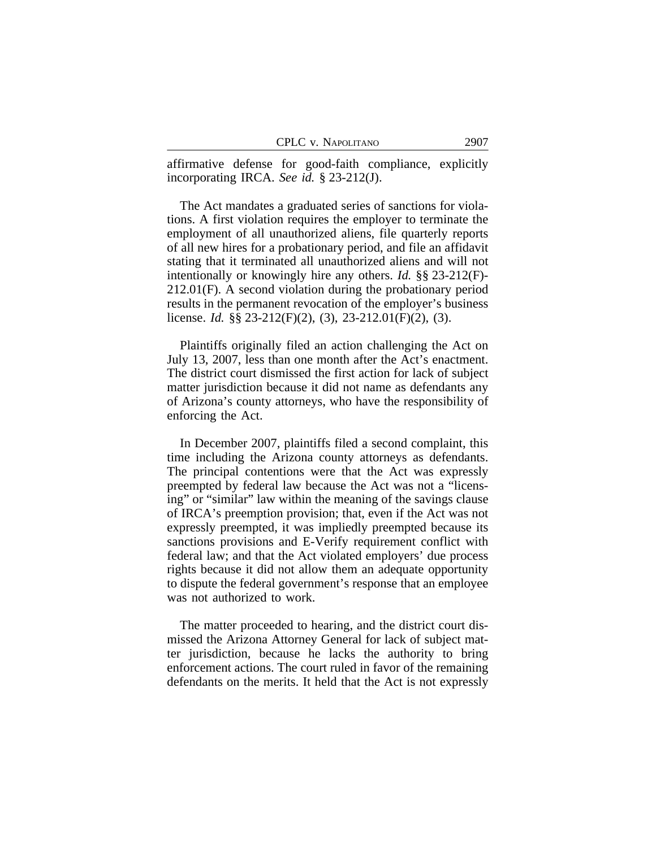affirmative defense for good-faith compliance, explicitly incorporating IRCA. *See id.* § 23-212(J).

The Act mandates a graduated series of sanctions for violations. A first violation requires the employer to terminate the employment of all unauthorized aliens, file quarterly reports of all new hires for a probationary period, and file an affidavit stating that it terminated all unauthorized aliens and will not intentionally or knowingly hire any others. *Id.* §§ 23-212(F)- 212.01(F). A second violation during the probationary period results in the permanent revocation of the employer's business license. *Id.* §§ 23-212(F)(2), (3), 23-212.01(F)(2), (3).

Plaintiffs originally filed an action challenging the Act on July 13, 2007, less than one month after the Act's enactment. The district court dismissed the first action for lack of subject matter jurisdiction because it did not name as defendants any of Arizona's county attorneys, who have the responsibility of enforcing the Act.

In December 2007, plaintiffs filed a second complaint, this time including the Arizona county attorneys as defendants. The principal contentions were that the Act was expressly preempted by federal law because the Act was not a "licensing" or "similar" law within the meaning of the savings clause of IRCA's preemption provision; that, even if the Act was not expressly preempted, it was impliedly preempted because its sanctions provisions and E-Verify requirement conflict with federal law; and that the Act violated employers' due process rights because it did not allow them an adequate opportunity to dispute the federal government's response that an employee was not authorized to work.

The matter proceeded to hearing, and the district court dismissed the Arizona Attorney General for lack of subject matter jurisdiction, because he lacks the authority to bring enforcement actions. The court ruled in favor of the remaining defendants on the merits. It held that the Act is not expressly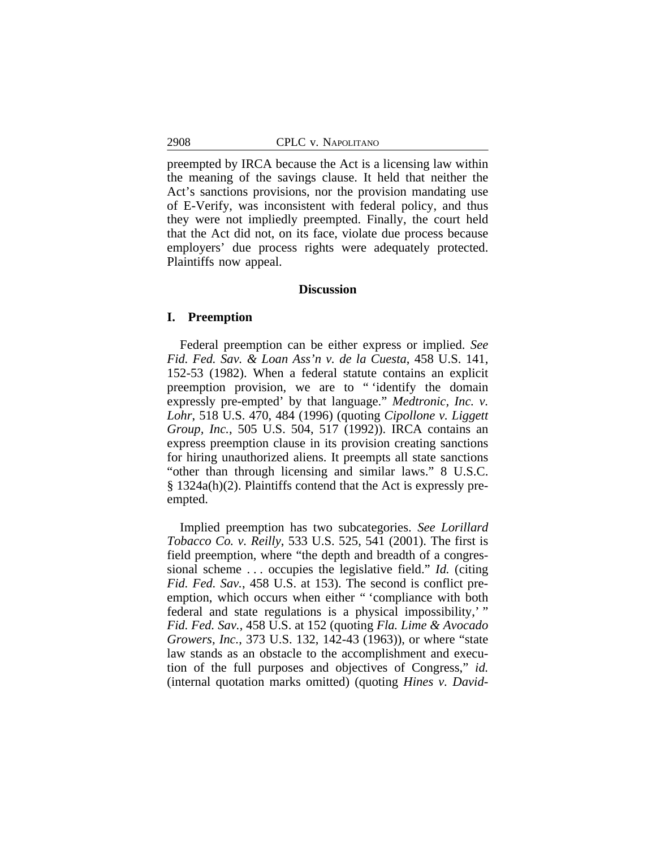preempted by IRCA because the Act is a licensing law within the meaning of the savings clause. It held that neither the Act's sanctions provisions, nor the provision mandating use of E-Verify, was inconsistent with federal policy, and thus they were not impliedly preempted. Finally, the court held that the Act did not, on its face, violate due process because employers' due process rights were adequately protected. Plaintiffs now appeal.

### **Discussion**

## **I. Preemption**

Federal preemption can be either express or implied. *See Fid. Fed. Sav. & Loan Ass'n v. de la Cuesta*, 458 U.S. 141, 152-53 (1982). When a federal statute contains an explicit preemption provision, we are to " 'identify the domain expressly pre-empted' by that language." *Medtronic, Inc. v. Lohr*, 518 U.S. 470, 484 (1996) (quoting *Cipollone v. Liggett Group, Inc.*, 505 U.S. 504, 517 (1992)). IRCA contains an express preemption clause in its provision creating sanctions for hiring unauthorized aliens. It preempts all state sanctions "other than through licensing and similar laws." 8 U.S.C. § 1324a(h)(2). Plaintiffs contend that the Act is expressly preempted.

Implied preemption has two subcategories. *See Lorillard Tobacco Co. v. Reilly*, 533 U.S. 525, 541 (2001). The first is field preemption, where "the depth and breadth of a congressional scheme . . . occupies the legislative field." *Id.* (citing *Fid. Fed. Sav.*, 458 U.S. at 153). The second is conflict preemption, which occurs when either " 'compliance with both federal and state regulations is a physical impossibility,'" *Fid. Fed. Sav.*, 458 U.S. at 152 (quoting *Fla. Lime & Avocado Growers, Inc.*, 373 U.S. 132, 142-43 (1963)), or where "state law stands as an obstacle to the accomplishment and execution of the full purposes and objectives of Congress," *id.* (internal quotation marks omitted) (quoting *Hines v. David-*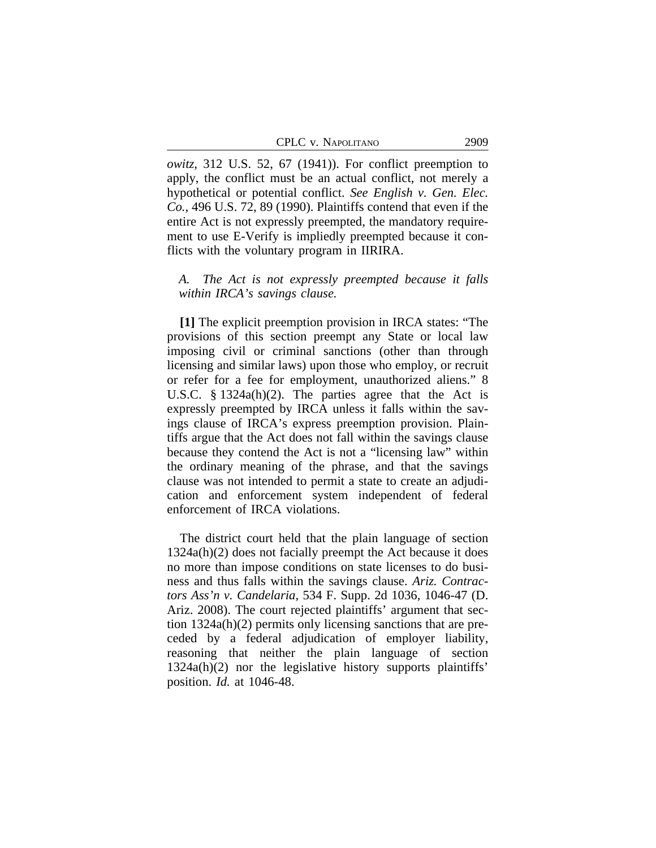| CPLC v. Napolitano | 2909 |
|--------------------|------|
|--------------------|------|

*owitz*, 312 U.S. 52, 67 (1941)). For conflict preemption to apply, the conflict must be an actual conflict, not merely a hypothetical or potential conflict. *See English v. Gen. Elec. Co.*, 496 U.S. 72, 89 (1990). Plaintiffs contend that even if the entire Act is not expressly preempted, the mandatory requirement to use E-Verify is impliedly preempted because it conflicts with the voluntary program in IIRIRA.

## *A. The Act is not expressly preempted because it falls within IRCA's savings clause.*

**[1]** The explicit preemption provision in IRCA states: "The provisions of this section preempt any State or local law imposing civil or criminal sanctions (other than through licensing and similar laws) upon those who employ, or recruit or refer for a fee for employment, unauthorized aliens." 8 U.S.C. § 1324a(h)(2). The parties agree that the Act is expressly preempted by IRCA unless it falls within the savings clause of IRCA's express preemption provision. Plaintiffs argue that the Act does not fall within the savings clause because they contend the Act is not a "licensing law" within the ordinary meaning of the phrase, and that the savings clause was not intended to permit a state to create an adjudication and enforcement system independent of federal enforcement of IRCA violations.

The district court held that the plain language of section 1324a(h)(2) does not facially preempt the Act because it does no more than impose conditions on state licenses to do business and thus falls within the savings clause. *Ariz. Contractors Ass'n v. Candelaria*, 534 F. Supp. 2d 1036, 1046-47 (D. Ariz. 2008). The court rejected plaintiffs' argument that section 1324a(h)(2) permits only licensing sanctions that are preceded by a federal adjudication of employer liability, reasoning that neither the plain language of section 1324a(h)(2) nor the legislative history supports plaintiffs' position. *Id.* at 1046-48.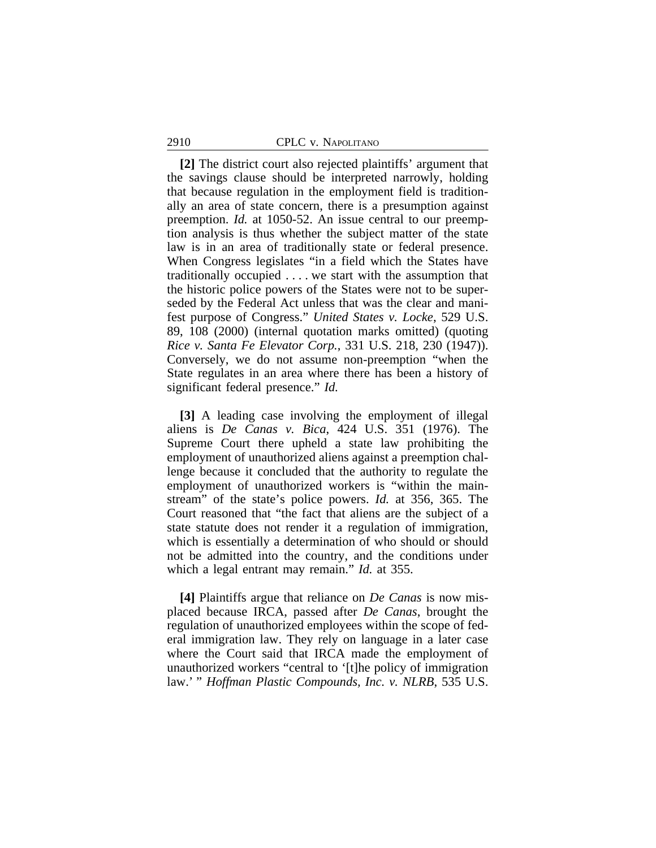**[2]** The district court also rejected plaintiffs' argument that the savings clause should be interpreted narrowly, holding that because regulation in the employment field is traditionally an area of state concern, there is a presumption against preemption. *Id.* at 1050-52. An issue central to our preemption analysis is thus whether the subject matter of the state law is in an area of traditionally state or federal presence. When Congress legislates "in a field which the States have traditionally occupied . . . . we start with the assumption that the historic police powers of the States were not to be superseded by the Federal Act unless that was the clear and manifest purpose of Congress." *United States v. Locke*, 529 U.S. 89, 108 (2000) (internal quotation marks omitted) (quoting *Rice v. Santa Fe Elevator Corp.*, 331 U.S. 218, 230 (1947)). Conversely, we do not assume non-preemption "when the State regulates in an area where there has been a history of significant federal presence." *Id.*

**[3]** A leading case involving the employment of illegal aliens is *De Canas v. Bica*, 424 U.S. 351 (1976). The Supreme Court there upheld a state law prohibiting the employment of unauthorized aliens against a preemption challenge because it concluded that the authority to regulate the employment of unauthorized workers is "within the mainstream" of the state's police powers. *Id.* at 356, 365. The Court reasoned that "the fact that aliens are the subject of a state statute does not render it a regulation of immigration, which is essentially a determination of who should or should not be admitted into the country, and the conditions under which a legal entrant may remain." *Id.* at 355.

**[4]** Plaintiffs argue that reliance on *De Canas* is now misplaced because IRCA, passed after *De Canas*, brought the regulation of unauthorized employees within the scope of federal immigration law. They rely on language in a later case where the Court said that IRCA made the employment of unauthorized workers "central to '[t]he policy of immigration law.' " *Hoffman Plastic Compounds, Inc. v. NLRB*, 535 U.S.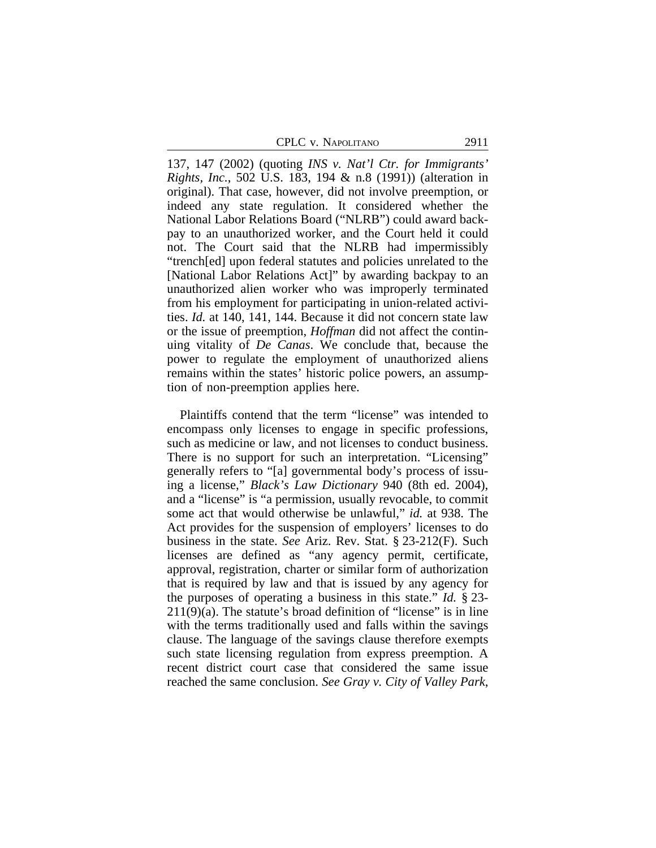137, 147 (2002) (quoting *INS v. Nat'l Ctr. for Immigrants' Rights, Inc.*, 502 U.S. 183, 194 & n.8 (1991)) (alteration in original). That case, however, did not involve preemption, or indeed any state regulation. It considered whether the National Labor Relations Board ("NLRB") could award backpay to an unauthorized worker, and the Court held it could not. The Court said that the NLRB had impermissibly "trench[ed] upon federal statutes and policies unrelated to the [National Labor Relations Act]" by awarding backpay to an unauthorized alien worker who was improperly terminated from his employment for participating in union-related activities. *Id.* at 140, 141, 144. Because it did not concern state law or the issue of preemption, *Hoffman* did not affect the continuing vitality of *De Canas*. We conclude that, because the power to regulate the employment of unauthorized aliens remains within the states' historic police powers, an assumption of non-preemption applies here.

Plaintiffs contend that the term "license" was intended to encompass only licenses to engage in specific professions, such as medicine or law, and not licenses to conduct business. There is no support for such an interpretation. "Licensing" generally refers to "[a] governmental body's process of issuing a license," *Black's Law Dictionary* 940 (8th ed. 2004), and a "license" is "a permission, usually revocable, to commit some act that would otherwise be unlawful," *id.* at 938. The Act provides for the suspension of employers' licenses to do business in the state. *See* Ariz. Rev. Stat. § 23-212(F). Such licenses are defined as "any agency permit, certificate, approval, registration, charter or similar form of authorization that is required by law and that is issued by any agency for the purposes of operating a business in this state." *Id.* § 23-  $211(9)(a)$ . The statute's broad definition of "license" is in line with the terms traditionally used and falls within the savings clause. The language of the savings clause therefore exempts such state licensing regulation from express preemption. A recent district court case that considered the same issue reached the same conclusion. *See Gray v. City of Valley Park*,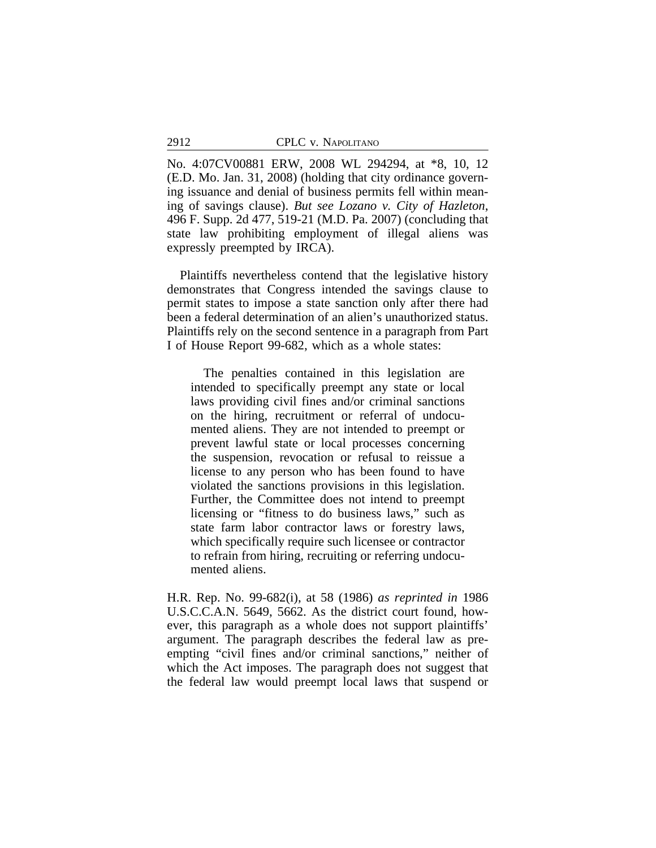No. 4:07CV00881 ERW, 2008 WL 294294, at \*8, 10, 12 (E.D. Mo. Jan. 31, 2008) (holding that city ordinance governing issuance and denial of business permits fell within meaning of savings clause). *But see Lozano v. City of Hazleton*, 496 F. Supp. 2d 477, 519-21 (M.D. Pa. 2007) (concluding that state law prohibiting employment of illegal aliens was expressly preempted by IRCA).

Plaintiffs nevertheless contend that the legislative history demonstrates that Congress intended the savings clause to permit states to impose a state sanction only after there had been a federal determination of an alien's unauthorized status. Plaintiffs rely on the second sentence in a paragraph from Part I of House Report 99-682, which as a whole states:

The penalties contained in this legislation are intended to specifically preempt any state or local laws providing civil fines and/or criminal sanctions on the hiring, recruitment or referral of undocumented aliens. They are not intended to preempt or prevent lawful state or local processes concerning the suspension, revocation or refusal to reissue a license to any person who has been found to have violated the sanctions provisions in this legislation. Further, the Committee does not intend to preempt licensing or "fitness to do business laws," such as state farm labor contractor laws or forestry laws, which specifically require such licensee or contractor to refrain from hiring, recruiting or referring undocumented aliens.

H.R. Rep. No. 99-682(i), at 58 (1986) *as reprinted in* 1986 U.S.C.C.A.N. 5649, 5662. As the district court found, however, this paragraph as a whole does not support plaintiffs' argument. The paragraph describes the federal law as preempting "civil fines and/or criminal sanctions," neither of which the Act imposes. The paragraph does not suggest that the federal law would preempt local laws that suspend or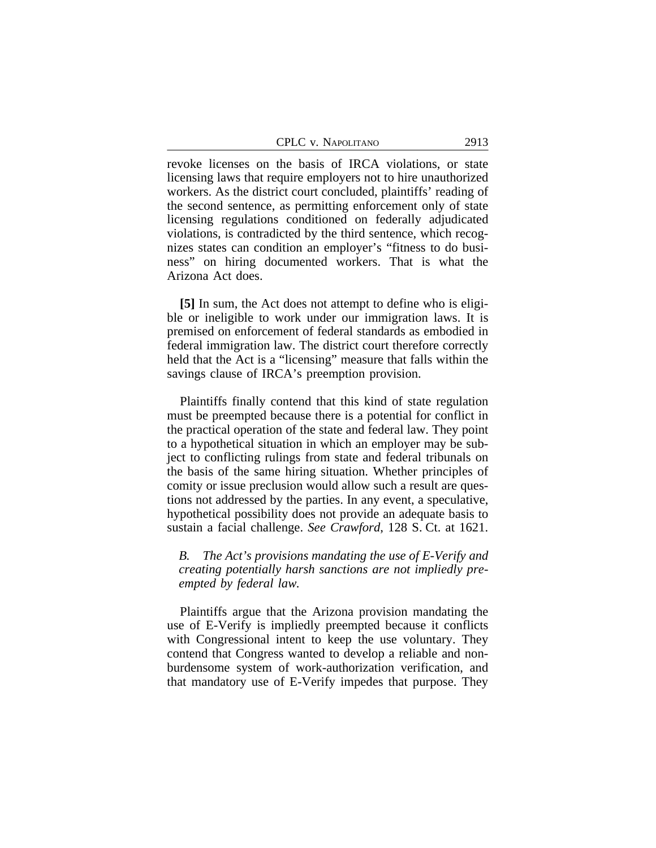revoke licenses on the basis of IRCA violations, or state licensing laws that require employers not to hire unauthorized workers. As the district court concluded, plaintiffs' reading of the second sentence, as permitting enforcement only of state licensing regulations conditioned on federally adjudicated violations, is contradicted by the third sentence, which recognizes states can condition an employer's "fitness to do business" on hiring documented workers. That is what the Arizona Act does.

**[5]** In sum, the Act does not attempt to define who is eligible or ineligible to work under our immigration laws. It is premised on enforcement of federal standards as embodied in federal immigration law. The district court therefore correctly held that the Act is a "licensing" measure that falls within the savings clause of IRCA's preemption provision.

Plaintiffs finally contend that this kind of state regulation must be preempted because there is a potential for conflict in the practical operation of the state and federal law. They point to a hypothetical situation in which an employer may be subject to conflicting rulings from state and federal tribunals on the basis of the same hiring situation. Whether principles of comity or issue preclusion would allow such a result are questions not addressed by the parties. In any event, a speculative, hypothetical possibility does not provide an adequate basis to sustain a facial challenge. *See Crawford*, 128 S. Ct. at 1621.

*B. The Act's provisions mandating the use of E-Verify and creating potentially harsh sanctions are not impliedly preempted by federal law.* 

Plaintiffs argue that the Arizona provision mandating the use of E-Verify is impliedly preempted because it conflicts with Congressional intent to keep the use voluntary. They contend that Congress wanted to develop a reliable and nonburdensome system of work-authorization verification, and that mandatory use of E-Verify impedes that purpose. They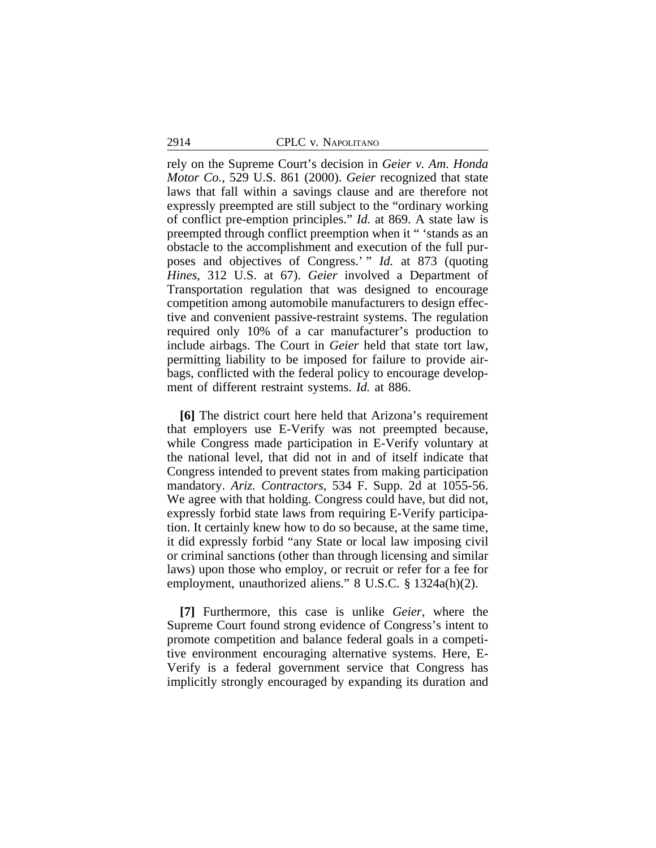rely on the Supreme Court's decision in *Geier v. Am. Honda Motor Co.*, 529 U.S. 861 (2000). *Geier* recognized that state laws that fall within a savings clause and are therefore not expressly preempted are still subject to the "ordinary working of conflict pre-emption principles." *Id.* at 869. A state law is preempted through conflict preemption when it " 'stands as an obstacle to the accomplishment and execution of the full purposes and objectives of Congress.' " *Id.* at 873 (quoting *Hines*, 312 U.S. at 67). *Geier* involved a Department of Transportation regulation that was designed to encourage competition among automobile manufacturers to design effective and convenient passive-restraint systems. The regulation required only 10% of a car manufacturer's production to include airbags. The Court in *Geier* held that state tort law, permitting liability to be imposed for failure to provide airbags, conflicted with the federal policy to encourage development of different restraint systems. *Id.* at 886.

**[6]** The district court here held that Arizona's requirement that employers use E-Verify was not preempted because, while Congress made participation in E-Verify voluntary at the national level, that did not in and of itself indicate that Congress intended to prevent states from making participation mandatory. *Ariz. Contractors*, 534 F. Supp. 2d at 1055-56. We agree with that holding. Congress could have, but did not, expressly forbid state laws from requiring E-Verify participation. It certainly knew how to do so because, at the same time, it did expressly forbid "any State or local law imposing civil or criminal sanctions (other than through licensing and similar laws) upon those who employ, or recruit or refer for a fee for employment, unauthorized aliens." 8 U.S.C. § 1324a(h)(2).

**[7]** Furthermore, this case is unlike *Geier*, where the Supreme Court found strong evidence of Congress's intent to promote competition and balance federal goals in a competitive environment encouraging alternative systems. Here, E-Verify is a federal government service that Congress has implicitly strongly encouraged by expanding its duration and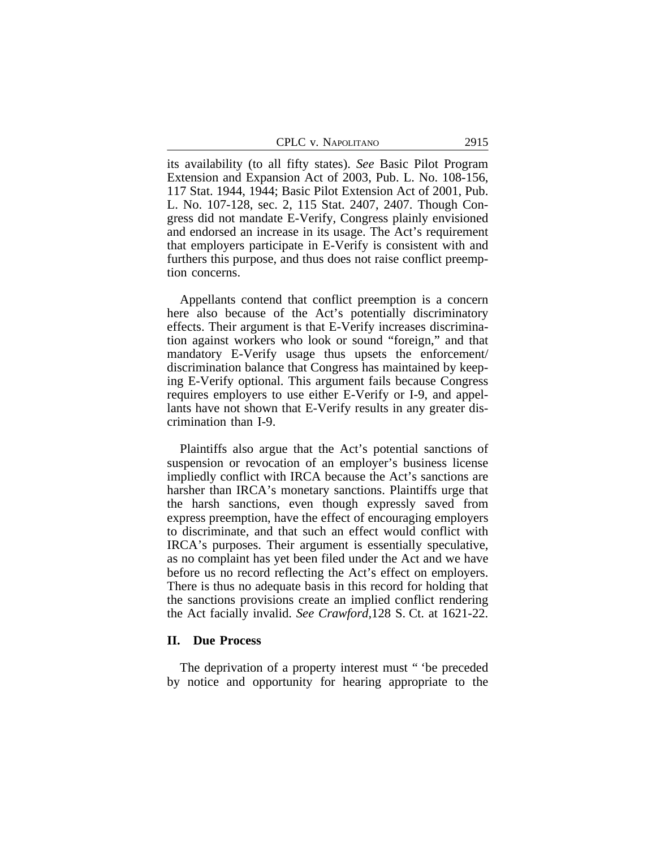| 2915<br>CPLC v. NAPOLITANO |  |
|----------------------------|--|
|----------------------------|--|

its availability (to all fifty states). *See* Basic Pilot Program Extension and Expansion Act of 2003, Pub. L. No. 108-156, 117 Stat. 1944, 1944; Basic Pilot Extension Act of 2001, Pub. L. No. 107-128, sec. 2, 115 Stat. 2407, 2407. Though Congress did not mandate E-Verify, Congress plainly envisioned and endorsed an increase in its usage. The Act's requirement that employers participate in E-Verify is consistent with and furthers this purpose, and thus does not raise conflict preemption concerns.

Appellants contend that conflict preemption is a concern here also because of the Act's potentially discriminatory effects. Their argument is that E-Verify increases discrimination against workers who look or sound "foreign," and that mandatory E-Verify usage thus upsets the enforcement/ discrimination balance that Congress has maintained by keeping E-Verify optional. This argument fails because Congress requires employers to use either E-Verify or I-9, and appellants have not shown that E-Verify results in any greater discrimination than I-9.

Plaintiffs also argue that the Act's potential sanctions of suspension or revocation of an employer's business license impliedly conflict with IRCA because the Act's sanctions are harsher than IRCA's monetary sanctions. Plaintiffs urge that the harsh sanctions, even though expressly saved from express preemption, have the effect of encouraging employers to discriminate, and that such an effect would conflict with IRCA's purposes. Their argument is essentially speculative, as no complaint has yet been filed under the Act and we have before us no record reflecting the Act's effect on employers. There is thus no adequate basis in this record for holding that the sanctions provisions create an implied conflict rendering the Act facially invalid. *See Crawford,*128 S. Ct. at 1621-22.

#### **II. Due Process**

The deprivation of a property interest must " 'be preceded by notice and opportunity for hearing appropriate to the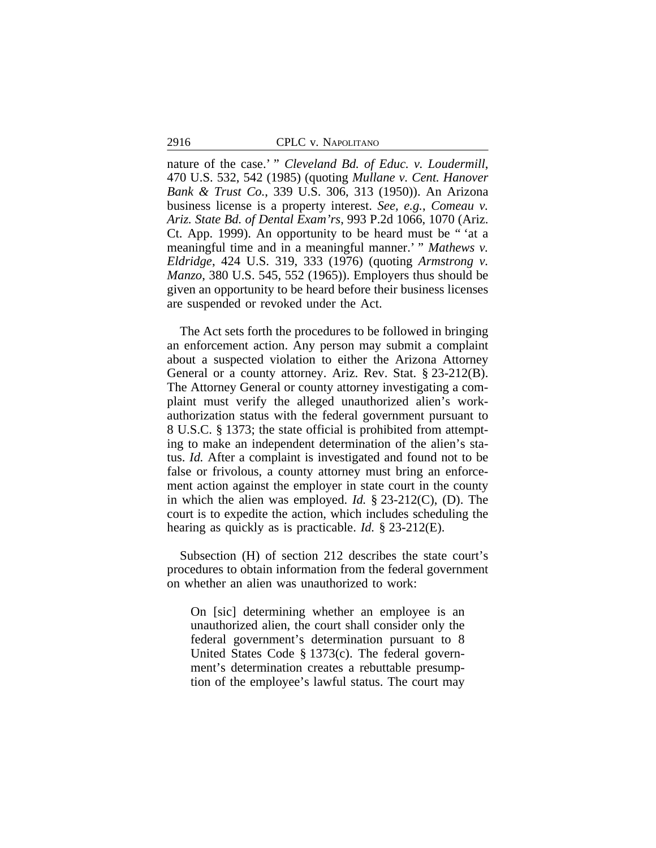nature of the case.' " *Cleveland Bd. of Educ. v. Loudermill*, 470 U.S. 532, 542 (1985) (quoting *Mullane v. Cent. Hanover Bank & Trust Co.*, 339 U.S. 306, 313 (1950)). An Arizona business license is a property interest. *See, e.g.*, *Comeau v. Ariz. State Bd. of Dental Exam'rs*, 993 P.2d 1066, 1070 (Ariz. Ct. App. 1999). An opportunity to be heard must be " 'at a meaningful time and in a meaningful manner.' " *Mathews v. Eldridge*, 424 U.S. 319, 333 (1976) (quoting *Armstrong v. Manzo*, 380 U.S. 545, 552 (1965)). Employers thus should be given an opportunity to be heard before their business licenses are suspended or revoked under the Act.

The Act sets forth the procedures to be followed in bringing an enforcement action. Any person may submit a complaint about a suspected violation to either the Arizona Attorney General or a county attorney. Ariz. Rev. Stat. § 23-212(B). The Attorney General or county attorney investigating a complaint must verify the alleged unauthorized alien's workauthorization status with the federal government pursuant to 8 U.S.C. § 1373; the state official is prohibited from attempting to make an independent determination of the alien's status. *Id.* After a complaint is investigated and found not to be false or frivolous, a county attorney must bring an enforcement action against the employer in state court in the county in which the alien was employed. *Id.* § 23-212(C), (D). The court is to expedite the action, which includes scheduling the hearing as quickly as is practicable. *Id.* § 23-212(E).

Subsection (H) of section 212 describes the state court's procedures to obtain information from the federal government on whether an alien was unauthorized to work:

On [sic] determining whether an employee is an unauthorized alien, the court shall consider only the federal government's determination pursuant to 8 United States Code § 1373(c). The federal government's determination creates a rebuttable presumption of the employee's lawful status. The court may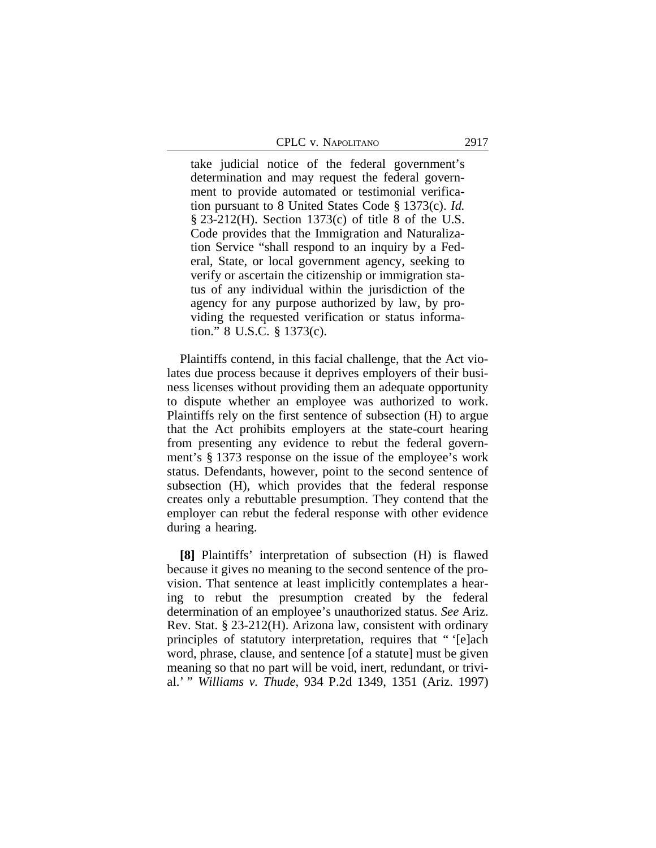|  | CPLC v. NAPOLITANO | 2917 |
|--|--------------------|------|
|--|--------------------|------|

take judicial notice of the federal government's determination and may request the federal government to provide automated or testimonial verification pursuant to 8 United States Code § 1373(c). *Id.* § 23-212(H). Section 1373(c) of title 8 of the U.S. Code provides that the Immigration and Naturalization Service "shall respond to an inquiry by a Federal, State, or local government agency, seeking to verify or ascertain the citizenship or immigration status of any individual within the jurisdiction of the agency for any purpose authorized by law, by providing the requested verification or status information." 8 U.S.C. § 1373(c).

Plaintiffs contend, in this facial challenge, that the Act violates due process because it deprives employers of their business licenses without providing them an adequate opportunity to dispute whether an employee was authorized to work. Plaintiffs rely on the first sentence of subsection (H) to argue that the Act prohibits employers at the state-court hearing from presenting any evidence to rebut the federal government's § 1373 response on the issue of the employee's work status. Defendants, however, point to the second sentence of subsection (H), which provides that the federal response creates only a rebuttable presumption. They contend that the employer can rebut the federal response with other evidence during a hearing.

**[8]** Plaintiffs' interpretation of subsection (H) is flawed because it gives no meaning to the second sentence of the provision. That sentence at least implicitly contemplates a hearing to rebut the presumption created by the federal determination of an employee's unauthorized status. *See* Ariz. Rev. Stat. § 23-212(H). Arizona law, consistent with ordinary principles of statutory interpretation, requires that " '[e]ach word, phrase, clause, and sentence [of a statute] must be given meaning so that no part will be void, inert, redundant, or trivial.' " *Williams v. Thude*, 934 P.2d 1349, 1351 (Ariz. 1997)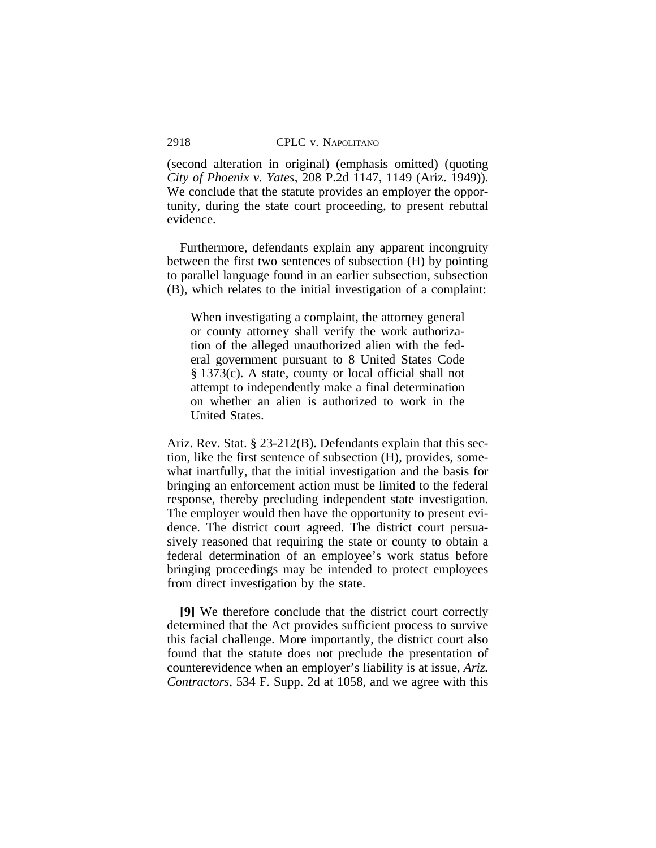(second alteration in original) (emphasis omitted) (quoting *City of Phoenix v. Yates*, 208 P.2d 1147, 1149 (Ariz. 1949)). We conclude that the statute provides an employer the opportunity, during the state court proceeding, to present rebuttal evidence.

Furthermore, defendants explain any apparent incongruity between the first two sentences of subsection (H) by pointing to parallel language found in an earlier subsection, subsection (B), which relates to the initial investigation of a complaint:

When investigating a complaint, the attorney general or county attorney shall verify the work authorization of the alleged unauthorized alien with the federal government pursuant to 8 United States Code § 1373(c). A state, county or local official shall not attempt to independently make a final determination on whether an alien is authorized to work in the United States.

Ariz. Rev. Stat. § 23-212(B). Defendants explain that this section, like the first sentence of subsection (H), provides, somewhat inartfully, that the initial investigation and the basis for bringing an enforcement action must be limited to the federal response, thereby precluding independent state investigation. The employer would then have the opportunity to present evidence. The district court agreed. The district court persuasively reasoned that requiring the state or county to obtain a federal determination of an employee's work status before bringing proceedings may be intended to protect employees from direct investigation by the state.

**[9]** We therefore conclude that the district court correctly determined that the Act provides sufficient process to survive this facial challenge. More importantly, the district court also found that the statute does not preclude the presentation of counterevidence when an employer's liability is at issue, *Ariz. Contractors*, 534 F. Supp. 2d at 1058, and we agree with this